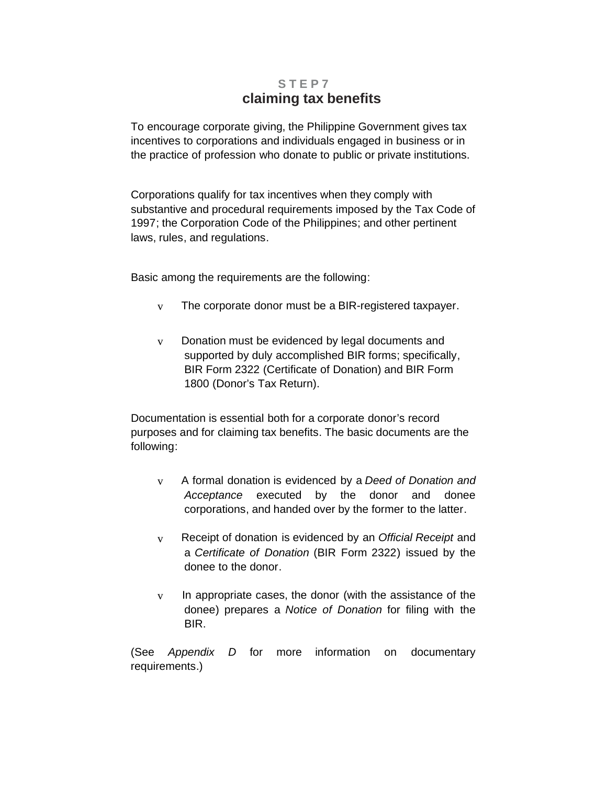## **STEP7 claiming tax benefits**

To encourage corporate giving, the Philippine Government gives tax incentives to corporations and individuals engaged in business or in the practice of profession who donate to public or private institutions.

Corporations qualify for tax incentives when they comply with substantive and procedural requirements imposed by the Tax Code of 1997; the Corporation Code of the Philippines; and other pertinent laws, rules, and regulations.

Basic among the requirements are the following:

- $v$  The corporate donor must be a BIR-registered taxpayer.
- v Donation must be evidenced by legal documents and supported by duly accomplished BIR forms; specifically, BIR Form 2322 (Certificate of Donation) and BIR Form 1800 (Donor's Tax Return).

Documentation is essential both for a corporate donor's record purposes and for claiming tax benefits. The basic documents are the following:

- v A formal donation is evidenced by a *Deed of Donation and Acceptance* executed by the donor and donee corporations, and handed over by the former to the latter.
- v Receipt of donation is evidenced by an *Official Receipt* and a *Certificate of Donation* (BIR Form 2322) issued by the donee to the donor.
- $v$  In appropriate cases, the donor (with the assistance of the donee) prepares a *Notice of Donation* for filing with the BIR.

(See *Appendix D* for more information on documentary requirements.)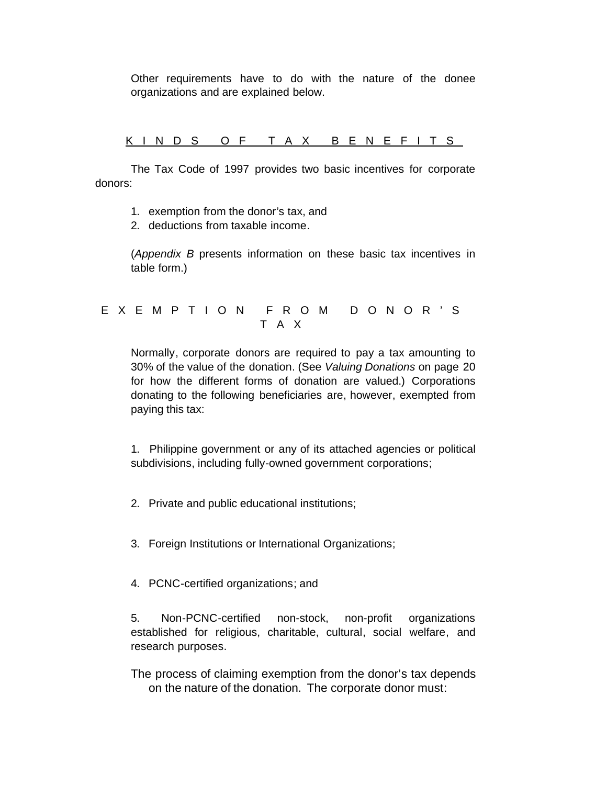Other requirements have to do with the nature of the donee organizations and are explained below.

KINDS OF TAX BENEFITS

The Tax Code of 1997 provides two basic incentives for corporate donors:

- 1. exemption from the donor's tax, and
- 2. deductions from taxable income.

(*Appendix B* presents information on these basic tax incentives in table form.)

EXEMPTION FROM DONOR'S TAX

Normally, corporate donors are required to pay a tax amounting to 30% of the value of the donation. (See *Valuing Donations* on page 20 for how the different forms of donation are valued.) Corporations donating to the following beneficiaries are, however, exempted from paying this tax:

1. Philippine government or any of its attached agencies or political subdivisions, including fully-owned government corporations;

2. Private and public educational institutions;

3. Foreign Institutions or International Organizations;

4. PCNC-certified organizations; and

5. Non-PCNC-certified non-stock, non-profit organizations established for religious, charitable, cultural, social welfare, and research purposes.

The process of claiming exemption from the donor's tax depends on the nature of the donation. The corporate donor must: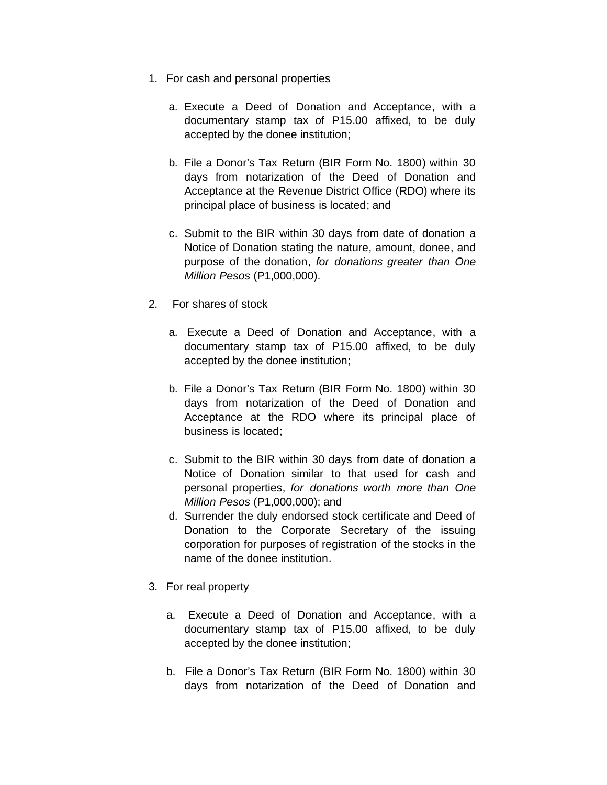- 1. For cash and personal properties
	- a. Execute a Deed of Donation and Acceptance, with a documentary stamp tax of P15.00 affixed, to be duly accepted by the donee institution;
	- b. File a Donor's Tax Return (BIR Form No. 1800) within 30 days from notarization of the Deed of Donation and Acceptance at the Revenue District Office (RDO) where its principal place of business is located; and
	- c. Submit to the BIR within 30 days from date of donation a Notice of Donation stating the nature, amount, donee, and purpose of the donation, *for donations greater than One Million Pesos* (P1,000,000).
- 2. For shares of stock
	- a. Execute a Deed of Donation and Acceptance, with a documentary stamp tax of P15.00 affixed, to be duly accepted by the donee institution;
	- b. File a Donor's Tax Return (BIR Form No. 1800) within 30 days from notarization of the Deed of Donation and Acceptance at the RDO where its principal place of business is located;
	- c. Submit to the BIR within 30 days from date of donation a Notice of Donation similar to that used for cash and personal properties, *for donations worth more than One Million Pesos* (P1,000,000); and
	- d. Surrender the duly endorsed stock certificate and Deed of Donation to the Corporate Secretary of the issuing corporation for purposes of registration of the stocks in the name of the donee institution.
- 3. For real property
	- a. Execute a Deed of Donation and Acceptance, with a documentary stamp tax of P15.00 affixed, to be duly accepted by the donee institution;
	- b. File a Donor's Tax Return (BIR Form No. 1800) within 30 days from notarization of the Deed of Donation and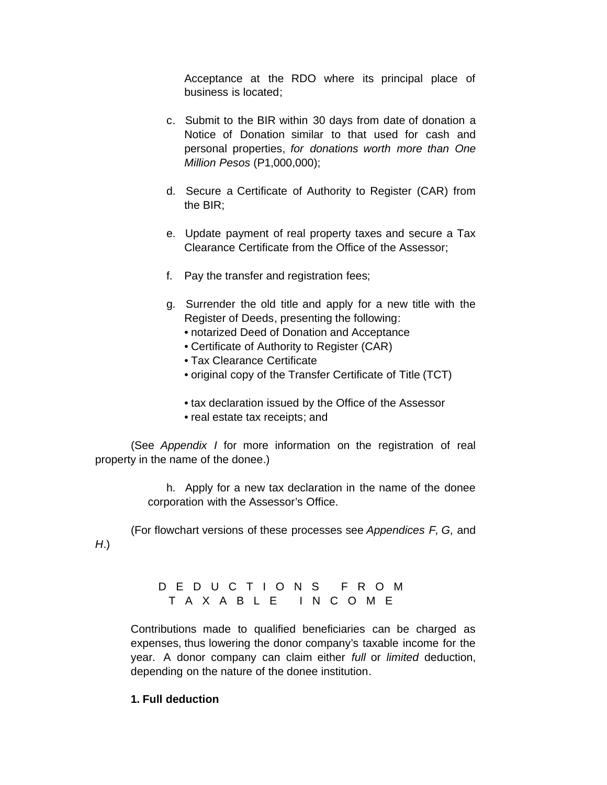Acceptance at the RDO where its principal place of business is located;

- c. Submit to the BIR within 30 days from date of donation a Notice of Donation similar to that used for cash and personal properties, *for donations worth more than One Million Pesos* (P1,000,000);
- d. Secure a Certificate of Authority to Register (CAR) from the BIR;
- e. Update payment of real property taxes and secure a Tax Clearance Certificate from the Office of the Assessor;
- f. Pay the transfer and registration fees;
- g. Surrender the old title and apply for a new title with the Register of Deeds, presenting the following:
	- notarized Deed of Donation and Acceptance
	- Certificate of Authority to Register (CAR)
	- Tax Clearance Certificate
	- original copy of the Transfer Certificate of Title (TCT)
	- tax declaration issued by the Office of the Assessor
	- real estate tax receipts; and

(See *Appendix I* for more information on the registration of real property in the name of the donee.)

> h. Apply for a new tax declaration in the name of the donee corporation with the Assessor's Office.

(For flowchart versions of these processes see *Appendices F, G,* and

## DEDUCTIONS FROM TAXABLE INCOME

Contributions made to qualified beneficiaries can be charged as expenses, thus lowering the donor company's taxable income for the year. A donor company can claim either *full* or *limited* deduction, depending on the nature of the donee institution.

## **1. Full deduction**

*H*.)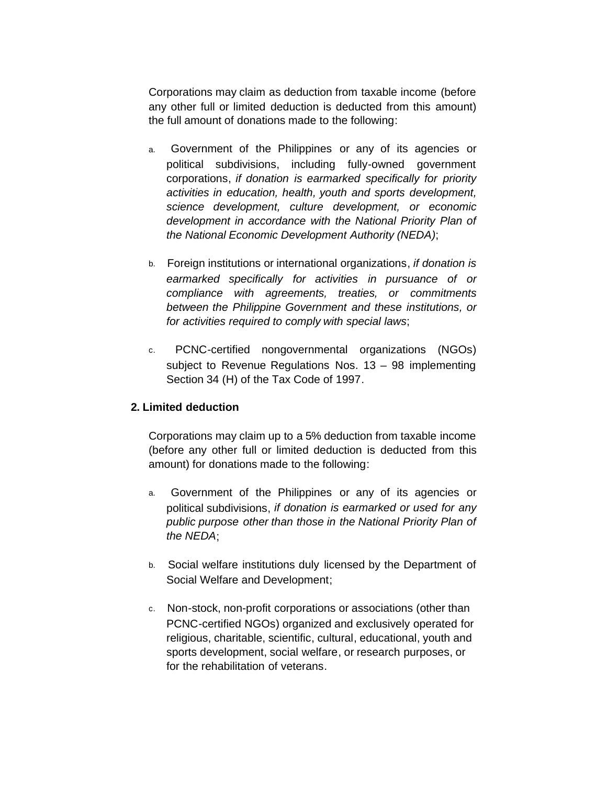Corporations may claim as deduction from taxable income (before any other full or limited deduction is deducted from this amount) the full amount of donations made to the following:

- a. Government of the Philippines or any of its agencies or political subdivisions, including fully-owned government corporations, *if donation is earmarked specifically for priority activities in education, health, youth and sports development, science development, culture development, or economic development in accordance with the National Priority Plan of the National Economic Development Authority (NEDA)*;
- b. Foreign institutions or international organizations, *if donation is earmarked specifically for activities in pursuance of or compliance with agreements, treaties, or commitments between the Philippine Government and these institutions, or for activities required to comply with special laws*;
- c. PCNC-certified nongovernmental organizations (NGOs) subject to Revenue Regulations Nos. 13 – 98 implementing Section 34 (H) of the Tax Code of 1997.

## **2. Limited deduction**

Corporations may claim up to a 5% deduction from taxable income (before any other full or limited deduction is deducted from this amount) for donations made to the following:

- a. Government of the Philippines or any of its agencies or political subdivisions, *if donation is earmarked or used for any public purpose other than those in the National Priority Plan of the NEDA*;
- b. Social welfare institutions duly licensed by the Department of Social Welfare and Development;
- c. Non-stock, non-profit corporations or associations (other than PCNC-certified NGOs) organized and exclusively operated for religious, charitable, scientific, cultural, educational, youth and sports development, social welfare, or research purposes, or for the rehabilitation of veterans.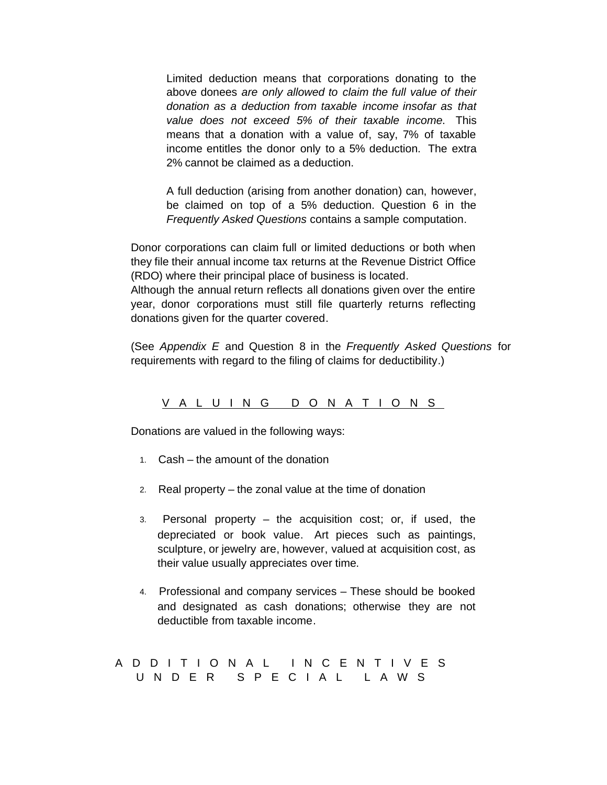Limited deduction means that corporations donating to the above donees *are only allowed to claim the full value of their donation as a deduction from taxable income insofar as that value does not exceed 5% of their taxable income*. This means that a donation with a value of, say, 7% of taxable income entitles the donor only to a 5% deduction. The extra 2% cannot be claimed as a deduction.

A full deduction (arising from another donation) can, however, be claimed on top of a 5% deduction. Question 6 in the *Frequently Asked Questions* contains a sample computation.

Donor corporations can claim full or limited deductions or both when they file their annual income tax returns at the Revenue District Office (RDO) where their principal place of business is located. Although the annual return reflects all donations given over the entire year, donor corporations must still file quarterly returns reflecting donations given for the quarter covered.

(See *Appendix E* and Question 8 in the *Frequently Asked Questions* for requirements with regard to the filing of claims for deductibility.)

VALUING DONATIONS

Donations are valued in the following ways:

- 1. Cash the amount of the donation
- 2. Real property the zonal value at the time of donation
- 3. Personal property the acquisition cost; or, if used, the depreciated or book value. Art pieces such as paintings, sculpture, or jewelry are, however, valued at acquisition cost, as their value usually appreciates over time.
- 4. Professional and company services These should be booked and designated as cash donations; otherwise they are not deductible from taxable income.

ADDITIONAL INCENTIVES UNDER SPECIAL LAWS